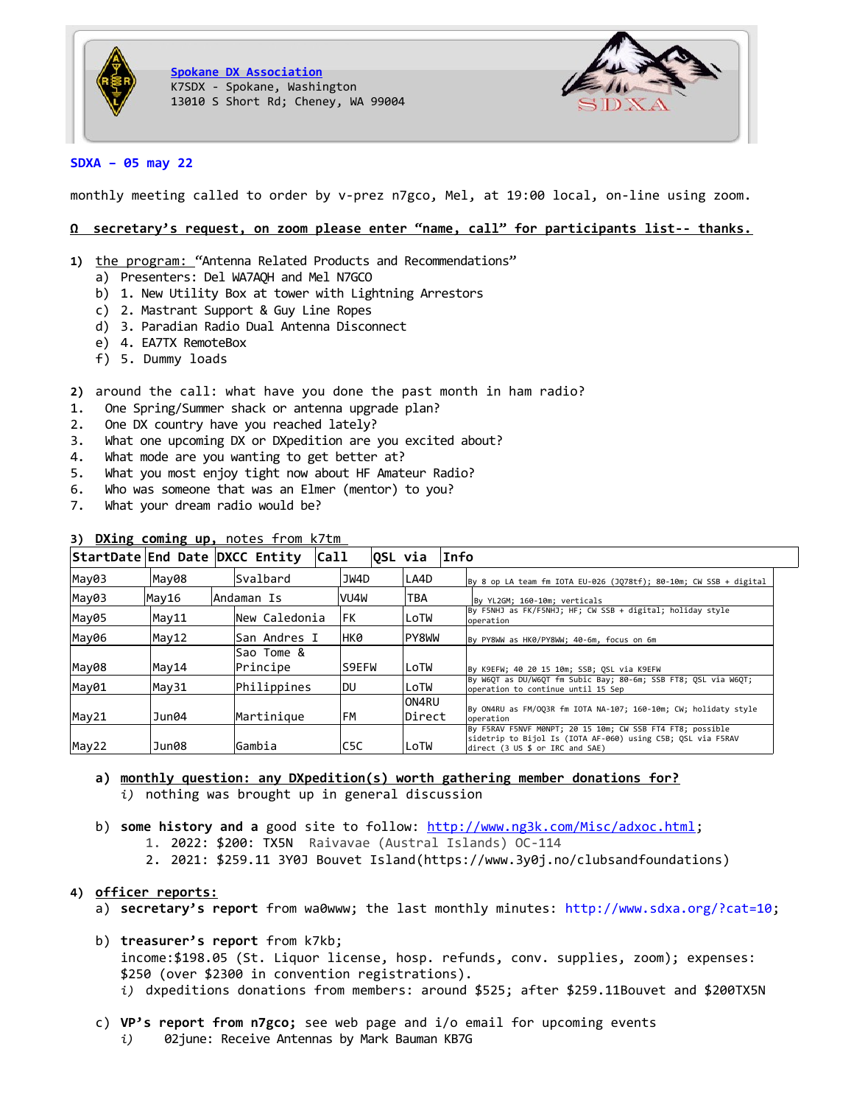

**[Spokane DX Association](http://www.sdxa.org/)** K7SDX - Spokane, Washington 13010 S Short Rd; Cheney, WA 99004



# **SDXA – 05 may 22**

monthly meeting called to order by v-prez n7gco, Mel, at 19:00 local, on-line using zoom.

## **Ω secretary's request, on zoom please enter "name, call" for participants list-- thanks.**

- 1) the program: "Antenna Related Products and Recommendations"
	- a) Presenters: Del WA7AQH and Mel N7GCO
	- b) 1. New Utility Box at tower with Lightning Arrestors
	- c) 2. Mastrant Support & Guy Line Ropes
	- d) 3. Paradian Radio Dual Antenna Disconnect
	- e) 4. EA7TX RemoteBox
	- f) 5. Dummy loads
- **2)** around the call: what have you done the past month in ham radio?
- 1. One Spring/Summer shack or antenna upgrade plan?
- 2. One DX country have you reached lately?
- 3. What one upcoming DX or DXpedition are you excited about?
- 4. What mode are you wanting to get better at?
- 5. What you most enjoy tight now about HF Amateur Radio?
- 6. Who was someone that was an Elmer (mentor) to you?
- 7. What your dream radio would be?

| StartDate End Date DXCC Entity |       |  |                        | Call |           |  | ∣OSL via        | Info      |                                                                                                                                                                                                  |
|--------------------------------|-------|--|------------------------|------|-----------|--|-----------------|-----------|--------------------------------------------------------------------------------------------------------------------------------------------------------------------------------------------------|
| May03                          | May08 |  | Svalbard               |      | JW4D      |  | LA4D            |           | By 8 op LA team fm IOTA EU-026 (JQ78tf); 80-10m; CW SSB + digital                                                                                                                                |
| May03                          | May16 |  | Andaman Is             |      | VU4W      |  | TBA             |           | By YL2GM; 160-10m; verticals                                                                                                                                                                     |
| May05                          | May11 |  | New Caledonia          |      | FK.       |  | LoTW            | operation | By F5NHJ as FK/F5NHJ; HF; CW SSB + digital; holiday style                                                                                                                                        |
| May06                          | May12 |  | San Andres I           |      | нкө       |  | PY8WW           |           | By PY8WW as HK0/PY8WW; 40-6m, focus on 6m                                                                                                                                                        |
| May08                          | May14 |  | Sao Tome &<br>Principe |      |           |  | LoTW            |           | By K9EFW; 40 20 15 10m; SSB; OSL via K9EFW                                                                                                                                                       |
| May01                          | May31 |  | Philippines            |      | du        |  | LoTW            |           | By W6OT as DU/W6OT fm Subic Bay; 80-6m; SSB FT8; OSL via W6OT;<br>operation to continue until 15 Sep                                                                                             |
| May21                          | Jun04 |  | Martinique             |      | <b>FM</b> |  | ON4RU<br>Direct | operation | By ON4RU as FM/OO3R fm IOTA NA-107; 160-10m; CW; holidaty style                                                                                                                                  |
| Gambia<br>May22<br>Jun08       |       |  |                        |      | C5C       |  | LoTW            |           | By F5RAV F5NVF M0NPT; 20 15 10m; CW SSB FT4 FT8; possible<br>sidetrip to Bijol Is (IOTA AF-060) using C5B; OSL via F5RAV<br>direct $(3 \cup S \text{ s or } \text{IRC} \text{ and } \text{SAE})$ |

# **3) DXing coming up,** notes fromk7tm

# **a) monthly question: any DXpedition(s) worth gathering member donations for?** *i)* nothing was brought up in general discussion

- b) **some history and a** good site to follow:<http://www.ng3k.com/Misc/adxoc.html>; 1. 2022: \$200: TX5N Raivavae (Austral Islands) OC-114
	- 2. 2021: \$259.11 3Y0J Bouvet Island(https://www.3y0j.no/clubsandfoundations)

# **4) officer reports:**

- a) **secretary's report** from wa0www; the last monthly minutes:<http://www.sdxa.org/?cat=10>;
- b) **treasurer's report** from k7kb; income:\$198.05 (St. Liquor license, hosp. refunds, conv. supplies, zoom); expenses: \$250 (over \$2300 in convention registrations). *i)* dxpeditions donations from members: around \$525; after \$259.11Bouvet and \$200TX5N
- c) **VP's report from n7gco;** see web page and i/o email for upcoming events
	- *i)* 02june: Receive Antennas by Mark Bauman KB7G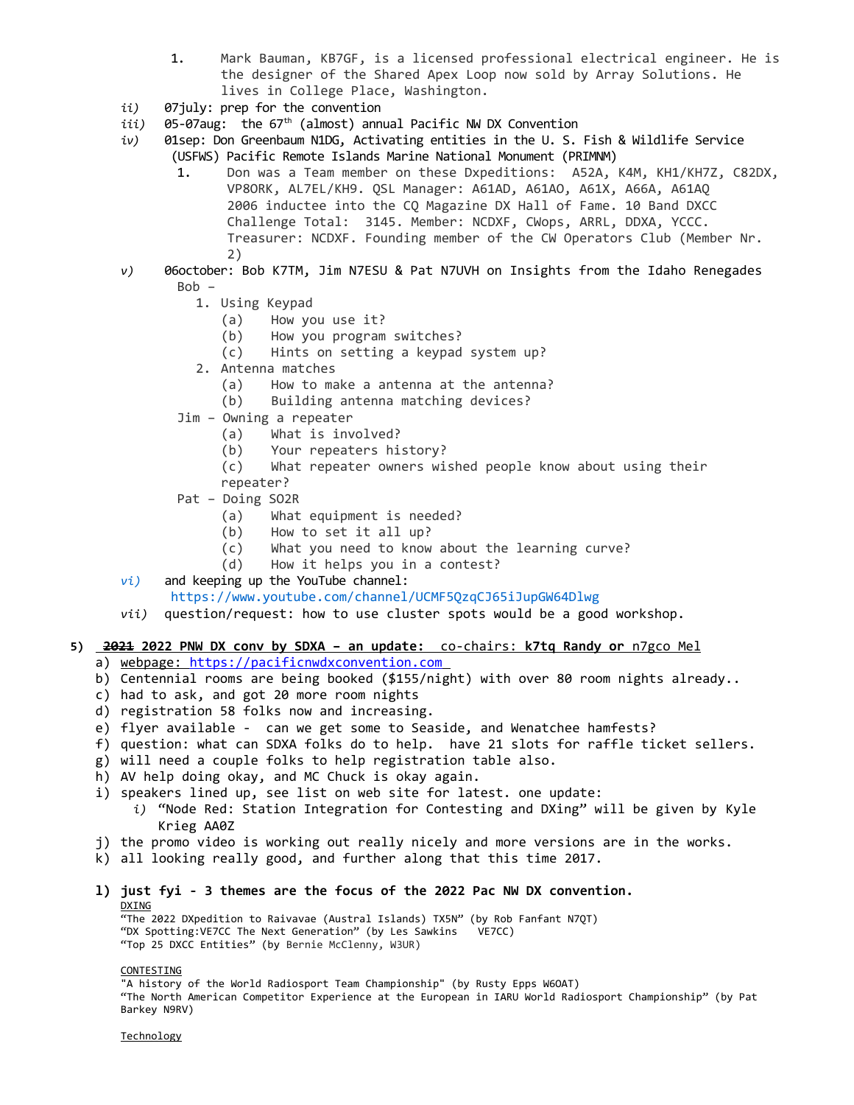- 1. Mark Bauman, KB7GF, is a licensed professional electrical engineer. He is the designer of the Shared Apex Loop now sold by Array Solutions. He lives in College Place, Washington.
- *ii)* 07july: prep for the convention
- *iii*) 05-07aug: the 67<sup>th</sup> (almost) annual Pacific NW DX Convention
- *iv)* 01sep: Don Greenbaum N1DG, Activating entities in the U. S. Fish & Wildlife Service (USFWS) Pacific Remote Islands Marine National Monument (PRIMNM)
	- 1. Don was a Team member on these Dxpeditions: A52A, K4M, KH1/KH7Z, C82DX, VP8ORK, AL7EL/KH9. QSL Manager: A61AD, A61AO, A61X, A66A, A61AQ 2006 inductee into the CQ Magazine DX Hall of Fame. 10 Band DXCC Challenge Total: 3145. Member: NCDXF, CWops, ARRL, DDXA, YCCC. Treasurer: NCDXF. Founding member of the CW Operators Club (Member Nr. 2)
- *v)* 06october: Bob K7TM, Jim N7ESU & Pat N7UVH on Insights from the Idaho Renegades Bob –
	- 1. Using Keypad
		- (a) How you use it?
		- (b) How you program switches?
		- (c) Hints on setting a keypad system up?
	- 2. Antenna matches
		- (a) How to make a antenna at the antenna?
		- (b) Building antenna matching devices?
	- Jim Owning a repeater
		- (a) What is involved?
		- (b) Your repeaters history?
		- (c) What repeater owners wished people know about using their
	- repeater?
	- Pat Doing SO2R
		- (a) What equipment is needed?
		- (b) How to set it all up?
		- (c) What you need to know about the learning curve?
		- (d) How it helps you in a contest?
- *vi)* and keeping up the YouTube channel:
	- <https://www.youtube.com/channel/UCMF5QzqCJ65iJupGW64Dlwg>
- *vii)* question/request: how to use cluster spots would be a good workshop.
- **5) 2021 2022 PNW DX conv by SDXA an update:** co-chairs: **k7tq Randy or** n7gco Mel
	- a) webpage: [https://pacificnwdxconvention.com](https://pacificnwdxconvention.com/)
	- b) Centennial rooms are being booked (\$155/night) with over 80 room nights already..
	- c) had to ask, and got 20 more room nights
	- d) registration 58 folks now and increasing.
	- e) flyer available can we get some to Seaside, and Wenatchee hamfests?
	- f) question: what can SDXA folks do to help. have 21 slots for raffle ticket sellers.
	- g) will need a couple folks to help registration table also.
	- h) AV help doing okay, and MC Chuck is okay again.
	- i) speakers lined up, see list on web site for latest. one update:
		- *i)* "Node Red: Station Integration for Contesting and DXing" will be given by Kyle Krieg AA0Z
	- j) the promo video is working out really nicely and more versions are in the works.
	- k) all looking really good, and further along that this time 2017.
	- **l) just fyi 3 themes are the focus of the 2022 Pac NW DX convention.** DXING

"The 2022 DXpedition to Raivavae (Austral Islands) TX5N" (by Rob Fanfant N7QT) "DX Spotting:VE7CC The Next Generation" (by Les Sawkins VE7CC) "Top 25 DXCC Entities" (by Bernie McClenny, W3UR)

#### CONTESTING

"A history of the World Radiosport Team Championship" (by Rusty Epps W6OAT) "The North American Competitor Experience at the European in IARU World Radiosport Championship" (by Pat Barkey N9RV)

Technology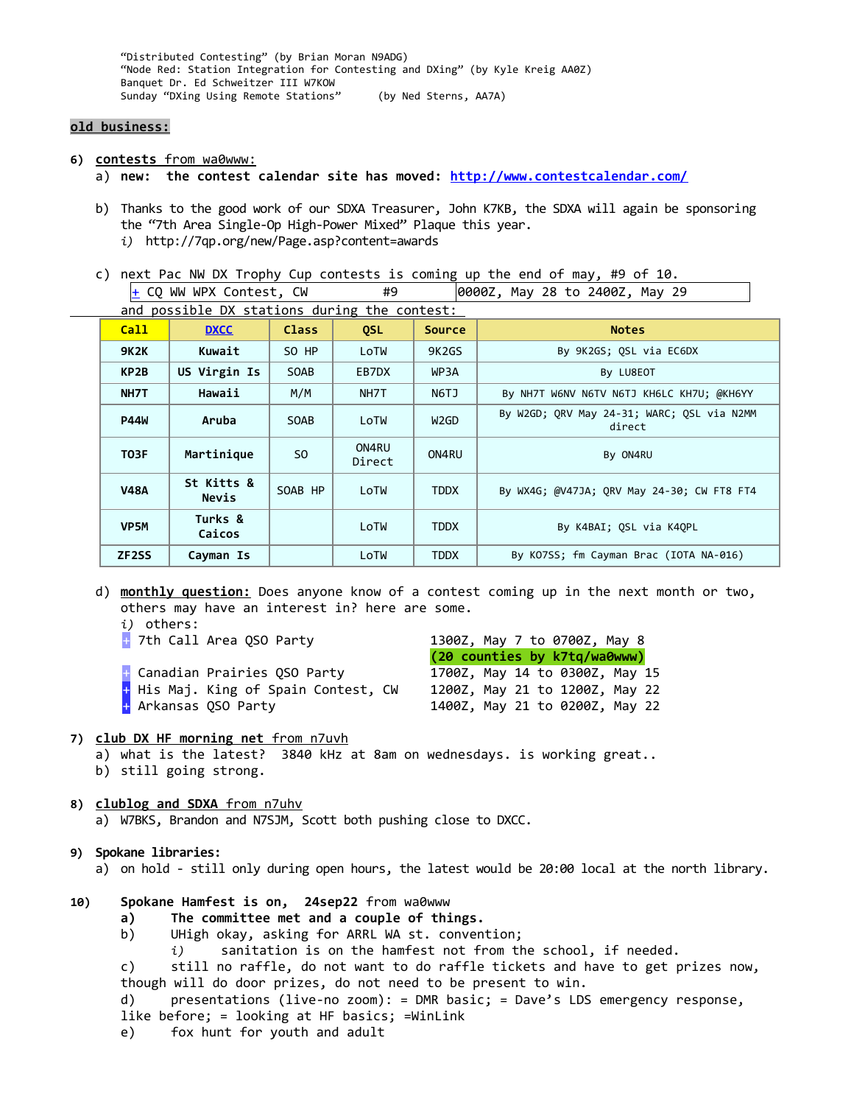"Distributed Contesting" (by Brian Moran N9ADG) "Node Red: Station Integration for Contesting and DXing" (by Kyle Kreig AA0Z) Banquet Dr. Ed Schweitzer III W7KOW Sunday "DXing Using Remote Stations" (by Ned Sterns, AA7A)

#### **old business:**

- **6) contests** from wa0www:
	- a) **new: the contest calendar site has moved: <http://www.contestcalendar.com/>**
	- b) Thanks to the good work of our SDXA Treasurer, John K7KB, the SDXA will again be sponsoring the "7th Area Single-Op High-Power Mixed" Plaque this year. *i)* http://7qp.org/new/Page.asp?content=awards
	- c) next Pac NW DX Trophy Cup contests is coming up the end of may, #9 of 10.  $+$  CQ WW WPX Contest, CW  $+$  #9  $-$  0000Z, May 28 to 2400Z, May 29

| and possible DX stations during the contest: |                     |                |                 |               |                                                      |  |  |  |  |  |  |  |  |
|----------------------------------------------|---------------------|----------------|-----------------|---------------|------------------------------------------------------|--|--|--|--|--|--|--|--|
| Call                                         | <b>DXCC</b>         | <b>Class</b>   | <b>QSL</b>      | <b>Source</b> | <b>Notes</b>                                         |  |  |  |  |  |  |  |  |
| <b>9K2K</b>                                  | Kuwait              | SO HP          | LoTW            | 9K2GS         | By 9K2GS; QSL via EC6DX                              |  |  |  |  |  |  |  |  |
| KP2B                                         | US Virgin Is        | <b>SOAB</b>    | EB7DX           | WP3A          | By LU8EOT                                            |  |  |  |  |  |  |  |  |
| NH7T                                         | Hawaii              | M/M            | NH7T            | N6TJ          | By NH7T W6NV N6TV N6TJ KH6LC KH7U; @KH6YY            |  |  |  |  |  |  |  |  |
| <b>P44W</b>                                  | Aruba               | <b>SOAB</b>    | LoTW            | W2GD          | By W2GD; QRV May 24-31; WARC; QSL via N2MM<br>direct |  |  |  |  |  |  |  |  |
| <b>T03F</b>                                  | Martinique          | S <sub>0</sub> | ON4RU<br>Direct | ON4RU         | By ON4RU                                             |  |  |  |  |  |  |  |  |
| <b>V48A</b>                                  | St Kitts &<br>Nevis | SOAB HP        | LoTW            | <b>TDDX</b>   | By WX4G; @V47JA; QRV May 24-30; CW FT8 FT4           |  |  |  |  |  |  |  |  |
| VP <sub>5</sub> M                            | Turks &<br>Caicos   |                | LoTW            | <b>TDDX</b>   | By K4BAI; QSL via K4QPL                              |  |  |  |  |  |  |  |  |
| ZF <sub>2</sub> SS                           | Cayman Is           |                | LoTW            | <b>TDDX</b>   | By KO7SS; fm Cayman Brac (IOTA NA-016)               |  |  |  |  |  |  |  |  |

d) **monthly question:** Does anyone know of a contest coming up in the next month or two, others may have an interest in? here are some.

- *i)* others:
- 

[+](https://www.contestcalendar.com/contestdetails.php?ref=717) Canadian Prairies QSO Party 1700Z, May 14 to 0300Z, May 15  $+$  His Maj. King of Spain Contest, CW  $-$  1200Z, May 21 to 1200Z, May 22 [+](https://www.contestcalendar.com/contestdetails.php?ref=132) Arkansas QSO Party 1400Z, May 21 to 0200Z, May 22

 $+$  7th Call Area OSO Party  $1300Z$ , May 7 to 0700Z, May 8 **(20 counties by k7tq/wa0www)**

#### **7) club DX HF morning net** from n7uvh

- a) what is the latest? 3840 kHz at 8am on wednesdays. is working great..
- b) still going strong.
- **8) clublog and SDXA** from n7uhv a) W7BKS, Brandon and N7SJM, Scott both pushing close to DXCC.

#### **9) Spokane libraries:**

a) on hold - still only during open hours, the latest would be 20:00 local at the north library.

- **10) Spokane Hamfest is on, 24sep22** from wa0www
	- **a) The committee met and a couple of things.**
	- b) UHigh okay, asking for ARRL WA st. convention;
		- *i)* sanitation is on the hamfest not from the school, if needed.

c) still no raffle, do not want to do raffle tickets and have to get prizes now, though will do door prizes, do not need to be present to win.

d) presentations (live-no zoom): = DMR basic; = Dave's LDS emergency response,

- like before; = looking at HF basics; =WinLink
- e) fox hunt for youth and adult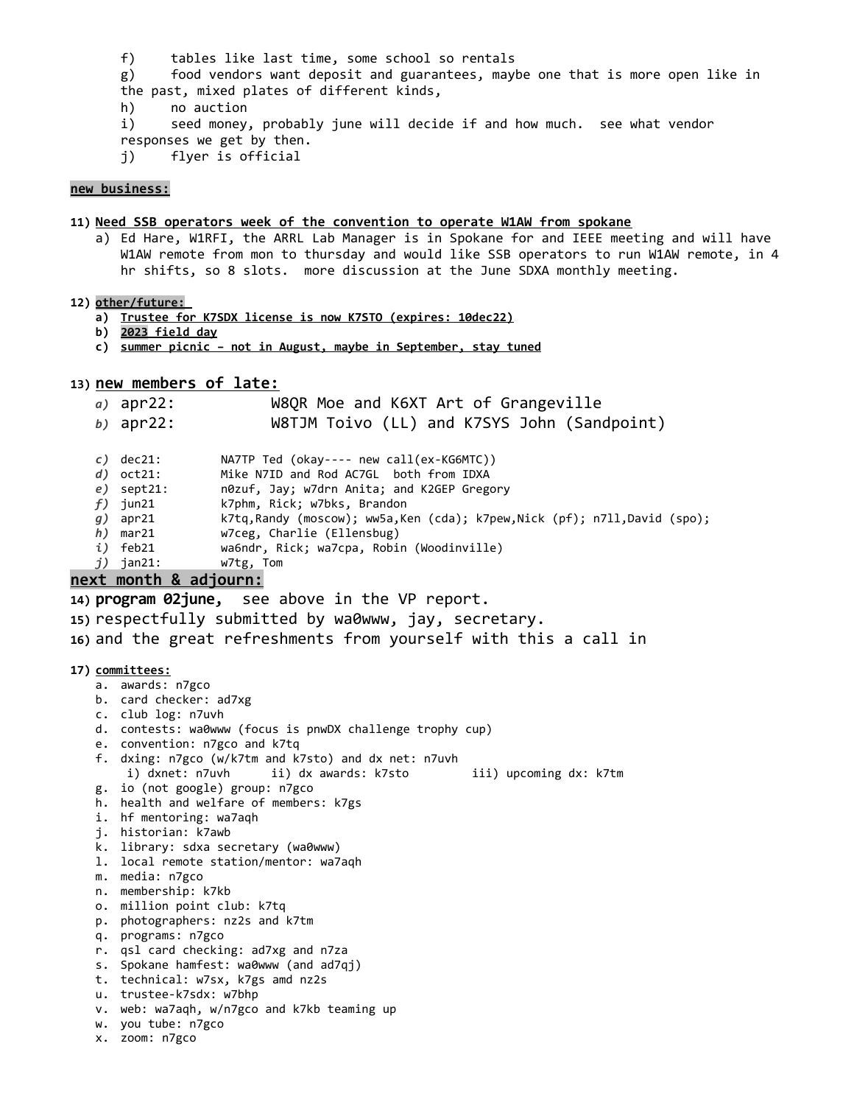- f) tables like last time, some school so rentals
- g) food vendors want deposit and guarantees, maybe one that is more open like in the past, mixed plates of different kinds,
- h) no auction
- i) seed money, probably june will decide if and how much. see what vendor responses we get by then.
- j) flyer is official

#### **new business:**

# **11) Need SSB operators week of the convention to operate W1AW from spokane**

a) Ed Hare, W1RFI, the ARRL Lab Manager is in Spokane for and IEEE meeting and will have W1AW remote from mon to thursday and would like SSB operators to run W1AW remote, in 4 hr shifts, so 8 slots. more discussion at the June SDXA monthly meeting.

#### **12) other/future:**

- **a) Trustee for K7SDX license is now K7STO (expires: 10dec22)**
- **b)** 2023 field day
- **c) s ummer picnic not in August, maybe in September, stay tuned**

# **13) new members of late:**

*a)* apr22: W8QR Moe and K6XT Art of Grangeville

*b)* apr22: W8TJM Toivo (LL) and K7SYS John (Sandpoint)

- *c)* dec21: NA7TP Ted (okay---- new call(ex-KG6MTC))
- *d)* oct21: Mike N7ID and Rod AC7GL both from IDXA
- *e)* sept21: n0zuf, Jay; w7drn Anita; and K2GEP Gregory
- *f)* jun21 k7phm, Rick; w7bks, Brandon
- *g)* apr21 k7tq,Randy (moscow); ww5a,Ken (cda); k7pew,Nick (pf); n7ll,David (spo);
- *h)* mar21 w7ceg, Charlie (Ellensbug)
- *i)* feb21 wa6ndr, Rick; wa7cpa, Robin (Woodinville)
- *j)* jan21: w7tg, Tom

# **next month & adjourn:**

**14) program 02june,** see above in the VP report.

- **15)** respectfully submitted by wa0www, jay, secretary.
- **16)** and the great refreshments from yourself with this a call in

#### **17) committees:**

- a. awards: n7gco
- b. card checker: ad7xg
- c. club log: n7uvh
- d. contests: wa0www (focus is pnwDX challenge trophy cup)
- e. convention: n7gco and k7tq
- f. dxing: n7gco (w/k7tm and k7sto) and dx net: n7uvh i) dxnet: n7uvh ii) dx awards: k7sto iii) upcoming dx: k7tm
- g. io (not google) group: n7gco
- h. health and welfare of members: k7gs
- i. hf mentoring: wa7aqh
- j. historian: k7awb
- k. library: sdxa secretary (wa0www)
- l. local remote station/mentor: wa7aqh
- m. media: n7gco
- n. membership: k7kb
- o. million point club: k7tq
- p. photographers: nz2s and k7tm
- q. programs: n7gco
- r. qsl card checking: ad7xg and n7za
- s. Spokane hamfest: wa0www (and ad7qj)
- t. technical: w7sx, k7gs amd nz2s
- u. trustee-k7sdx: w7bhp
- v. web: wa7aqh, w/n7gco and k7kb teaming up
- w. you tube: n7gco
- x. zoom: n7gco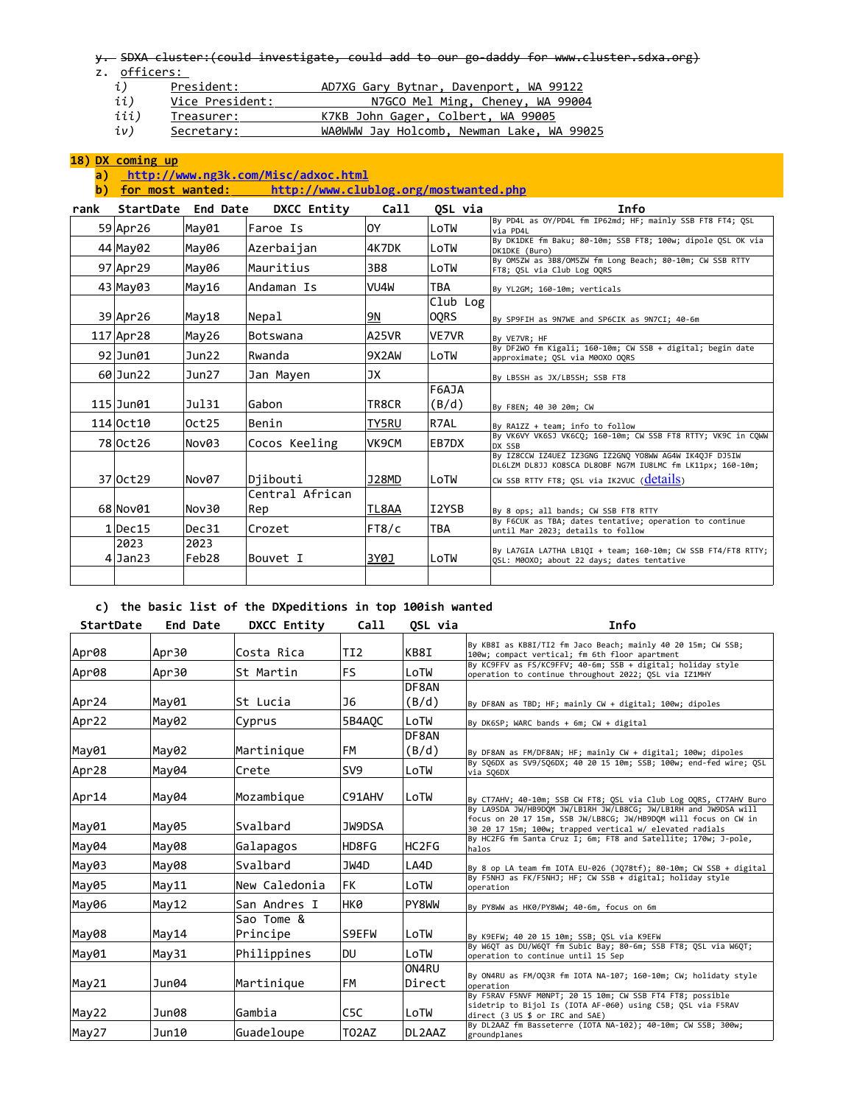y. SDXA cluster:(could investigate, could add to our go-daddy for www.cluster.sdxa.org)

z. officers:

| ĺ, | President: |  | AD7XG Gary Bytnar, Davenport, WA 99122 |  |
|----|------------|--|----------------------------------------|--|
|    |            |  |                                        |  |

- *ii*) Vice President: N7GCO Mel Ming, Cheney, WA 99004
- iii) Treasurer: K7KB John Gager, Colbert, WA 99005
- *iv)* Secretary: WA0WWW Jay Holcomb, Newman Lake, WA 99025

# **18) DX coming up**

# **a)<http://www.ng3k.com/Misc/adxoc.html>**

**b) for most wanted: <http://www.clublog.org/mostwanted.php>**

| rank | <b>StartDate</b>  | End Date      | DXCC Entity     | <b>Call</b>  | OSL via          | Info                                                                                                                 |
|------|-------------------|---------------|-----------------|--------------|------------------|----------------------------------------------------------------------------------------------------------------------|
|      | 59 Apr 26         | May01         | Faroe Is        | 0Y           | LoTW             | By PD4L as OY/PD4L fm IP62md; HF; mainly SSB FT8 FT4; QSL<br>via PD4L                                                |
|      | 44 May 02         | May06         | ∣Azerbaijan     | 4K7DK        | LoTW             | By DK1DKE fm Baku; 80-10m; SSB FT8; 100w; dipole OSL OK via<br>DK1DKE (Buro)                                         |
|      | 97 Apr 29         | May06         | Mauritius       | 3B8          | LoTW             | By OM5ZW as 3B8/OM5ZW fm Long Beach; 80-10m; CW SSB RTTY<br>FT8; QSL via Club Log OQRS                               |
|      | 43 May 03         | May16         | Andaman Is      | VU4W         | TBA              | By YL2GM; 160-10m; verticals                                                                                         |
|      | 39 Apr 26         | May18         | Nepal           | 9N           | Club Log<br>OQRS | By SP9FIH as 9N7WE and SP6CIK as 9N7CI; 40-6m                                                                        |
|      | $117$ Apr 28      | May26         | Botswana        | A25VR        | VE7VR            | By VE7VR; HF                                                                                                         |
|      | $92$ Jun $01$     | Jun22         | Rwanda          | 9X2AW        | LoTW             | By DF2WO fm Kigali; 160-10m; CW SSB + digital; begin date<br>approximate; OSL via M00X0 OORS                         |
|      | $60$ Jun22        | Jun27         | Jan Mayen       | JX           |                  | By LB5SH as JX/LB5SH; SSB FT8                                                                                        |
|      | $115$ Jun $01$    | Ju131         | Gabon           | TR8CR        | F6AJA<br>(B/d)   | By F8EN; 40 30 20m; CW                                                                                               |
|      | 114 Oct10         | Oct25         | Benin           | <b>TY5RU</b> | R7AL             | By RA1ZZ + team; info to follow                                                                                      |
|      | 78 Oct 26         | Nov03         | Cocos Keeling   | VK9CM        | EB7DX            | By VK6VY VK6SJ VK6CQ; 160-10m; CW SSB FT8 RTTY; VK9C in COWW<br>DX SSB                                               |
|      |                   |               |                 |              |                  | By IZ8CCW IZ4UEZ IZ3GNG IZ2GNQ YO8WW AG4W IK4QJF DJ5IW<br>DL6LZM DL8JJ KO8SCA DL8OBF NG7M IU8LMC fm LK11px; 160-10m; |
|      | 37 Oct 29         | Nov07         | Djibouti        | J28MD        | LoTW             | CW SSB RTTY FT8; QSL via IK2VUC ( <b>details</b> )                                                                   |
|      |                   |               | Central African |              |                  |                                                                                                                      |
|      | 68 Nov01          | Nov30         | Rep             | TL8AA        | I2YSB            | By 8 ops; all bands; CW SSB FT8 RTTY                                                                                 |
|      | $1$ Dec $15$      | Dec31         | Crozet          | FT8/c        | TBA              | By F6CUK as TBA; dates tentative; operation to continue<br>until Mar 2023; details to follow                         |
|      | 2023<br>$4$ Jan23 | 2023<br>Feb28 | Bouvet I        | 3Y0J         | LoTW             | By LA7GIA LA7THA LB1QI + team; 160-10m; CW SSB FT4/FT8 RTTY;<br>OSL: M00XO; about 22 days; dates tentative           |
|      |                   |               |                 |              |                  |                                                                                                                      |

# **c) the basic list of the DXpeditions in top 100ish wanted**

| By KB8I as KB8I/TI2 fm Jaco Beach; mainly 40 20 15m; CW SSB;<br>100w; compact vertical; fm 6th floor apartment<br>By KC9FFV as FS/KC9FFV; 40-6m; SSB + digital; holiday style<br>operation to continue throughout 2022; QSL via IZ1MHY<br>By DF8AN as TBD; HF; mainly CW + digital; 100w; dipoles |
|---------------------------------------------------------------------------------------------------------------------------------------------------------------------------------------------------------------------------------------------------------------------------------------------------|
|                                                                                                                                                                                                                                                                                                   |
|                                                                                                                                                                                                                                                                                                   |
|                                                                                                                                                                                                                                                                                                   |
|                                                                                                                                                                                                                                                                                                   |
| By DK6SP; WARC bands + 6m; CW + digital                                                                                                                                                                                                                                                           |
|                                                                                                                                                                                                                                                                                                   |
| By DF8AN as FM/DF8AN; HF; mainly CW + digital; 100w; dipoles                                                                                                                                                                                                                                      |
| By SO6DX as SV9/SO6DX; 40 20 15 10m; SSB; 100w; end-fed wire; OSL                                                                                                                                                                                                                                 |
| By CT7AHV; 40-10m; SSB CW FT8; QSL via Club Log OQRS, CT7AHV Buro                                                                                                                                                                                                                                 |
| By LA9SDA JW/HB9DOM JW/LB1RH JW/LB8CG; JW/LB1RH and JW9DSA will<br>focus on 20 17 15m, SSB JW/LB8CG; JW/HB9DOM will focus on CW in<br>30 20 17 15m; 100w; trapped vertical w/ elevated radials                                                                                                    |
| By HC2FG fm Santa Cruz I; 6m; FT8 and Satellite; 170w; J-pole,                                                                                                                                                                                                                                    |
| By 8 op LA team fm IOTA EU-026 (JQ78tf); 80-10m; CW SSB + digital                                                                                                                                                                                                                                 |
| By F5NHJ as FK/F5NHJ; HF; CW SSB + digital; holiday style                                                                                                                                                                                                                                         |
| By PY8WW as HK0/PY8WW; 40-6m, focus on 6m                                                                                                                                                                                                                                                         |
|                                                                                                                                                                                                                                                                                                   |
| By K9EFW; 40 20 15 10m; SSB; QSL via K9EFW                                                                                                                                                                                                                                                        |
| By W6OT as DU/W6OT fm Subic Bay; 80-6m; SSB FT8; OSL via W6OT;                                                                                                                                                                                                                                    |
| By ON4RU as FM/OO3R fm IOTA NA-107; 160-10m; CW; holidaty style                                                                                                                                                                                                                                   |
|                                                                                                                                                                                                                                                                                                   |
| By F5RAV F5NVF M0NPT; 20 15 10m; CW SSB FT4 FT8; possible<br>sidetrip to Bijol Is (IOTA AF-060) using C5B; OSL via F5RAV                                                                                                                                                                          |
| By DL2AAZ fm Basseterre (IOTA NA-102); 40-10m; CW SSB; 300w;                                                                                                                                                                                                                                      |
|                                                                                                                                                                                                                                                                                                   |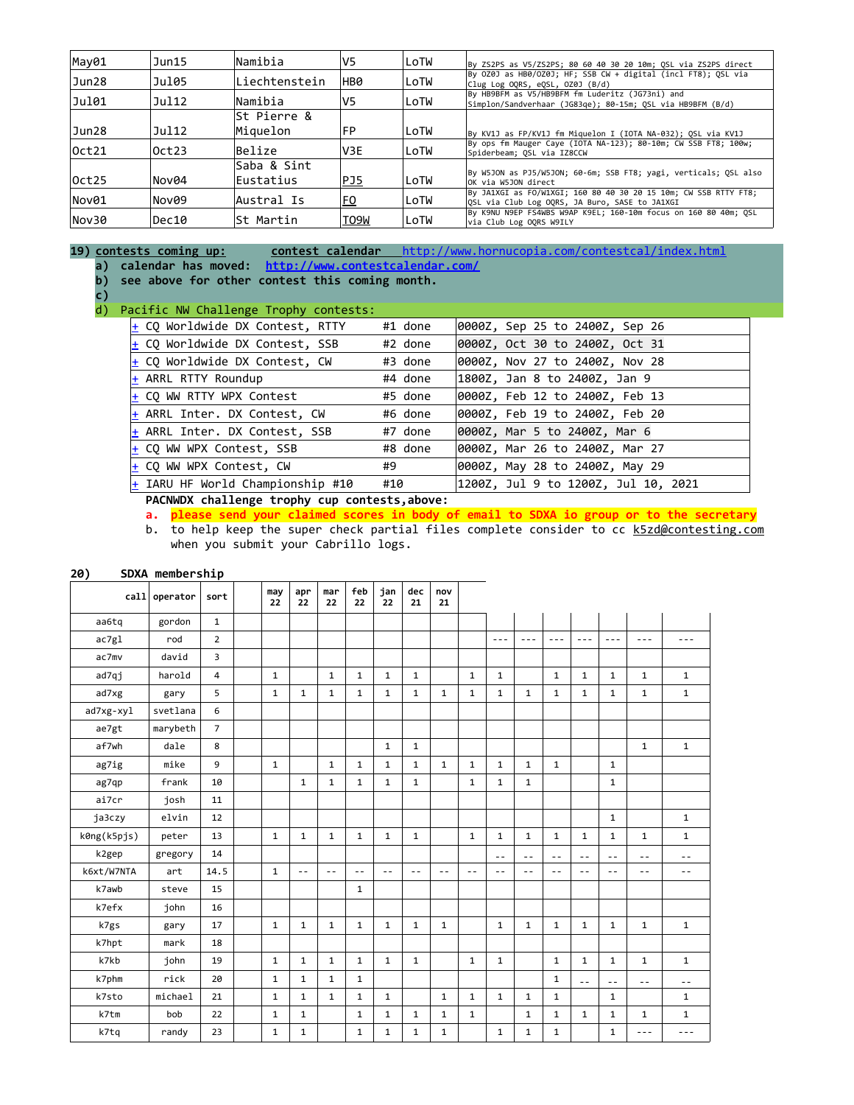| May01 | Jun15 | Namibia       | V5         | lLoTW | By ZS2PS as V5/ZS2PS; 80 60 40 30 20 10m; OSL via ZS2PS direct                                                    |
|-------|-------|---------------|------------|-------|-------------------------------------------------------------------------------------------------------------------|
| Jun28 | Jul05 | Liechtenstein | HB0        | LoTW  | By 0Z0J as HB0/0Z0J; HF; SSB CW + digital (incl FT8); OSL via<br>Clug Log OORS, eOSL, OZ0J (B/d)                  |
| Ju101 | Ju112 | Namibia       | V5         | LoTW  | By HB9BFM as V5/HB9BFM fm Luderitz (JG73ni) and<br>Simplon/Sandverhaar (JG83qe); 80-15m; QSL via HB9BFM (B/d)     |
|       |       | St Pierre &   |            |       |                                                                                                                   |
| Jun28 | Jul12 | Miquelon      | FP         | LoTW  | By KV1J as FP/KV1J fm Miquelon I (IOTA NA-032); OSL via KV1J                                                      |
| Oct21 | 0ct23 | Belize        | IV3E       | LoTW  | By ops fm Mauger Caye (IOTA NA-123); 80-10m; CW SSB FT8; 100w;<br>Spiderbeam: OSL via IZ8CCW                      |
|       |       | Saba & Sint   |            |       |                                                                                                                   |
| 0ct25 | Nov04 | Eustatius     | <u>PJ5</u> | LoTW  | By W5JON as PJ5/W5JON; 60-6m; SSB FT8; yagi, verticals; QSL also<br>OK via W5JON direct                           |
| Nov01 | Nov09 | Austral Is    | EQ         | LoTW  | By JA1XGI as FO/W1XGI; 160 80 40 30 20 15 10m; CW SSB RTTY FT8;<br>OSL via Club Log OORS, JA Buro, SASE to JA1XGI |
| Nov30 | Dec10 | ∣St Martin    | T09W       | LoTW  | By K9NU N9EP FS4WBS W9AP K9EL; 160-10m focus on 160 80 40m; OSL<br>via Club Log OORS W9ILY                        |

**19) contests coming up: contest calendar** <http://www.hornucopia.com/contestcal/index.html> **a) calendar has moved: <http://www.contestcalendar.com/>**

- **b) see above for other contest this coming month.**
- **c)**

### d) Pacific NW Challenge Trophy contests:

| $\frac{1}{2}$ CQ Worldwide DX Contest, RTTY | #1 done | 0000Z, Sep 25 to 2400Z, Sep 26      |
|---------------------------------------------|---------|-------------------------------------|
| $\pm$ CQ Worldwide DX Contest, SSB          | #2 done | 0000Z, Oct 30 to 2400Z, Oct 31      |
| $\frac{1}{2}$ CQ Worldwide DX Contest, CW   | #3 done | 0000Z, Nov 27 to 2400Z, Nov 28      |
| $ +$ ARRL RTTY Roundup                      | #4 done | 1800Z, Jan 8 to 2400Z, Jan 9        |
| $ +$ CO WW RTTY WPX Contest                 | #5 done | 0000Z, Feb 12 to 2400Z, Feb 13      |
| $\frac{1}{2}$ ARRL Inter. DX Contest, CW    | #6 done | 0000Z, Feb 19 to 2400Z, Feb 20      |
| $ +$ ARRL Inter. DX Contest, SSB            | #7 done | 0000Z, Mar 5 to 2400Z, Mar 6        |
| $\pm$ CQ WW WPX Contest, SSB                | #8 done | 0000Z, Mar 26 to 2400Z, Mar 27      |
| $ +$ CO WW WPX Contest, CW                  | #9      | 0000Z, May 28 to 2400Z, May 29      |
| $ + $ IARU HF World Championship #10        | #10     | 1200Z, Jul 9 to 1200Z, Jul 10, 2021 |

**PACNWDX challenge trophy cup contests,above:**

**a. please send your claimed scores in body of email to SDXA io group or to the secretary** 

b. to help keep the super check partial files complete consider to cc [k5zd@contesting.com](mailto:k5zd@contesting.com) when you submit your Cabrillo logs.

## **20) SDXA membership**

|             | call operator | sort           | may<br>22    | apr<br>22    | mar<br>22    | feb<br>22    | jan<br>22    | dec<br>21    | nov<br>21    |              |              |              |               |               |              |              |              |
|-------------|---------------|----------------|--------------|--------------|--------------|--------------|--------------|--------------|--------------|--------------|--------------|--------------|---------------|---------------|--------------|--------------|--------------|
| aa6tq       | gordon        | $\mathbf{1}$   |              |              |              |              |              |              |              |              |              |              |               |               |              |              |              |
| ac7g1       | rod           | $\overline{2}$ |              |              |              |              |              |              |              |              | $- - -$      | $- - -$      | $- - -$       | $- - -$       | $- - -$      | $- - -$      | $- - -$      |
| ac7mv       | david         | 3              |              |              |              |              |              |              |              |              |              |              |               |               |              |              |              |
| ad7qj       | harold        | $\overline{4}$ | $\mathbf{1}$ |              | $\mathbf{1}$ | $\mathbf{1}$ | $\mathbf{1}$ | $\mathbf{1}$ |              | $\mathbf{1}$ | $\mathbf{1}$ |              | $\mathbf{1}$  | $\mathbf{1}$  | $\mathbf{1}$ | $\mathbf{1}$ | $\mathbf{1}$ |
| ad7xg       | gary          | 5              | $\mathbf{1}$ | $\mathbf{1}$ | $\mathbf{1}$ | 1            | $\mathbf{1}$ | 1            | $\mathbf{1}$ | $\mathbf{1}$ | $\mathbf{1}$ | $\mathbf{1}$ | $\mathbf{1}$  | $\mathbf{1}$  | $\mathbf{1}$ | $\mathbf{1}$ | $\mathbf{1}$ |
| ad7xg-xyl   | svetlana      | 6              |              |              |              |              |              |              |              |              |              |              |               |               |              |              |              |
| ae7gt       | marybeth      | $\overline{7}$ |              |              |              |              |              |              |              |              |              |              |               |               |              |              |              |
| af7wh       | dale          | 8              |              |              |              |              | $\mathbf 1$  | $\mathbf{1}$ |              |              |              |              |               |               |              | $\mathbf{1}$ | $\mathbf 1$  |
| ag7ig       | mike          | $\mathbf{9}$   | $\mathbf{1}$ |              | $\mathbf{1}$ | $\mathbf 1$  | $\mathbf{1}$ | $\mathbf 1$  | $\mathbf{1}$ | $\mathbf 1$  | $\mathbf{1}$ | $\mathbf{1}$ | $\mathbf{1}$  |               | $\mathbf{1}$ |              |              |
| ag7qp       | frank         | 10             |              | $\mathbf{1}$ | $\mathbf{1}$ | $\mathbf{1}$ | $\mathbf{1}$ | $\mathbf 1$  |              | $\mathbf{1}$ | $\mathbf{1}$ | $\mathbf{1}$ |               |               | $\mathbf{1}$ |              |              |
| ai7cr       | josh          | 11             |              |              |              |              |              |              |              |              |              |              |               |               |              |              |              |
| ja3czy      | elvin         | 12             |              |              |              |              |              |              |              |              |              |              |               |               | $\mathbf{1}$ |              | $\mathbf{1}$ |
| k0ng(k5pjs) | peter         | 13             | $\mathbf{1}$ | $\mathbf{1}$ | $\mathbf{1}$ | $\mathbf{1}$ | $\mathbf{1}$ | $\mathbf 1$  |              | $\mathbf{1}$ | $\mathbf{1}$ | $\mathbf{1}$ | $\mathbf{1}$  | $\mathbf{1}$  | $\mathbf{1}$ | $\mathbf{1}$ | $\mathbf{1}$ |
| k2gep       | gregory       | 14             |              |              |              |              |              |              |              |              | $\sim$ $-$   | $- -$        | $\sim$ $\sim$ | $\sim$ $\sim$ | $- -$        | $ -$         | $ -$         |
| k6xt/W7NTA  | art           | 14.5           | $\mathbf{1}$ | $ -$         | $-$          | $ -$         | $- -$        | $ -$         | $- -$        | $ -$         | $\sim$ $-$   | $- -$        | $- -$         | $-1$          | $-$          | $ -$         | $ -$         |
| k7awb       | steve         | 15             |              |              |              | 1            |              |              |              |              |              |              |               |               |              |              |              |
| k7efx       | john          | 16             |              |              |              |              |              |              |              |              |              |              |               |               |              |              |              |
| k7gs        | gary          | 17             | $\mathbf{1}$ | $\mathbf{1}$ | $\mathbf{1}$ | $\mathbf 1$  | $\mathbf 1$  | $\mathbf 1$  | $\mathbf{1}$ |              | $\mathbf 1$  | 1            | $\mathbf{1}$  | $\mathbf 1$   | $\mathbf{1}$ | $\mathbf 1$  | $\mathbf{1}$ |
| k7hpt       | mark          | 18             |              |              |              |              |              |              |              |              |              |              |               |               |              |              |              |
| k7kb        | john          | 19             | $\mathbf{1}$ | $\mathbf{1}$ | $\mathbf{1}$ | $\mathbf{1}$ | $\mathbf{1}$ | $\mathbf{1}$ |              | $\mathbf{1}$ | $\mathbf{1}$ |              | $\mathbf{1}$  | $\mathbf{1}$  | $\mathbf{1}$ | $\mathbf{1}$ | $\mathbf{1}$ |
| k7phm       | rick          | 20             | $\mathbf{1}$ | $\mathbf{1}$ | $\mathbf{1}$ | $\mathbf{1}$ |              |              |              |              |              |              | $\mathbf{1}$  | $=$ $-$       | $ -$         | $ -$         | $ -$         |
| k7sto       | michael       | 21             | $\mathbf{1}$ | $\mathbf{1}$ | $\mathbf{1}$ | $\mathbf{1}$ | $\mathbf{1}$ |              | $\mathbf{1}$ | $\mathbf{1}$ | $\mathbf{1}$ | $\mathbf{1}$ | $\mathbf{1}$  |               | $\mathbf{1}$ |              | $\mathbf{1}$ |
| k7tm        | bob           | 22             | $\mathbf{1}$ | $\mathbf{1}$ |              | $\mathbf{1}$ | $\mathbf{1}$ | $\mathbf{1}$ | $\mathbf{1}$ | $\mathbf{1}$ |              | $\mathbf{1}$ | $\mathbf{1}$  | $\mathbf{1}$  | $\mathbf{1}$ | $\mathbf{1}$ | $\mathbf{1}$ |
| k7tq        | randy         | 23             | 1            | $\mathbf{1}$ |              | $\mathbf{1}$ | $\mathbf{1}$ | $\mathbf 1$  | $\mathbf{1}$ |              | $\mathbf 1$  | $\mathbf{1}$ | $\mathbf{1}$  |               | $\mathbf{1}$ | $- - -$      | $- - -$      |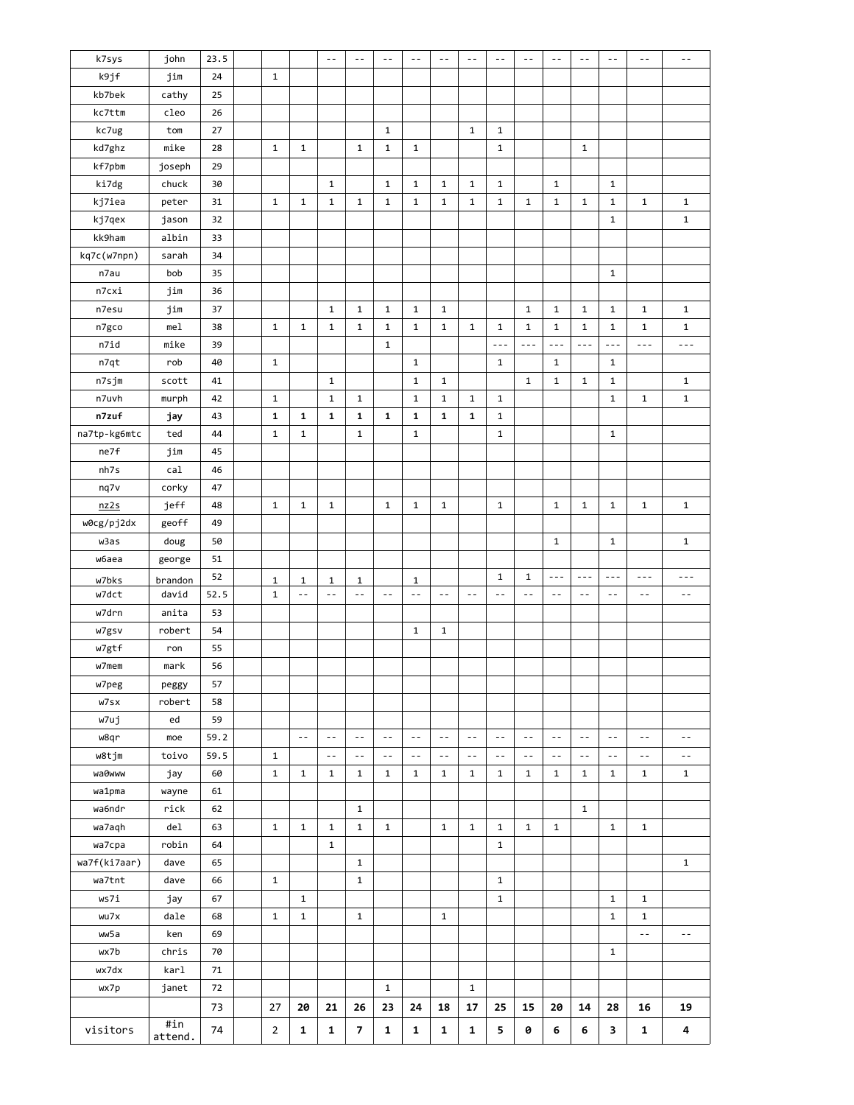| k7sys         | john       | 23.5 |                |                | $\sim$ $-$   | $\sim$ $-$              | $\sim$ $-$   | $ -$           | $\sim$ $-$    | $\sim$ $-$     | $\sim$ $-$     | $\sim$ $-$     | $ -$           | $\sim$ $-$    | $\sim$ $-$    | $\sim$ $-$     | $ -$                 |
|---------------|------------|------|----------------|----------------|--------------|-------------------------|--------------|----------------|---------------|----------------|----------------|----------------|----------------|---------------|---------------|----------------|----------------------|
| k9jf          | jim        | 24   | $\mathbf{1}$   |                |              |                         |              |                |               |                |                |                |                |               |               |                |                      |
| kb7bek        | cathy      | 25   |                |                |              |                         |              |                |               |                |                |                |                |               |               |                |                      |
| kc7ttm        | cleo       | 26   |                |                |              |                         |              |                |               |                |                |                |                |               |               |                |                      |
| kc7ug         | tom        | 27   |                |                |              |                         | $\mathbf{1}$ |                |               | $\mathbf{1}$   | $\mathbf{1}$   |                |                |               |               |                |                      |
| kd7ghz        | mike       | 28   | $\mathbf{1}$   | $\mathbf{1}$   |              | $\mathbf{1}$            | $\mathbf{1}$ | $\mathbf{1}$   |               |                | $\mathbf{1}$   |                |                | $\mathbf{1}$  |               |                |                      |
| kf7pbm        | joseph     | 29   |                |                |              |                         |              |                |               |                |                |                |                |               |               |                |                      |
| ki7dg         | chuck      | 30   |                |                | $\mathbf{1}$ |                         | $\mathbf{1}$ | $\mathbf{1}$   | $\mathbf{1}$  | $\mathbf{1}$   | $\mathbf{1}$   |                | $\mathbf 1$    |               | $\mathbf{1}$  |                |                      |
| kj7iea        | peter      | 31   | $\mathbf 1$    | 1              | $\mathbf{1}$ | $\mathbf{1}$            | $\mathbf{1}$ | $\mathbf{1}$   | $\mathbf{1}$  | $\mathbf{1}$   | 1              | $\mathbf{1}$   | $\mathbf 1$    | $\mathbf{1}$  | $\mathbf{1}$  | $\mathbf{1}$   | $\mathbf{1}$         |
| kj7qex        | jason      | 32   |                |                |              |                         |              |                |               |                |                |                |                |               | $\mathbf{1}$  |                | $\mathbf{1}$         |
| kk9ham        | albin      | 33   |                |                |              |                         |              |                |               |                |                |                |                |               |               |                |                      |
| kq7c(w7npn)   | sarah      | 34   |                |                |              |                         |              |                |               |                |                |                |                |               |               |                |                      |
| n7au          | bob        | 35   |                |                |              |                         |              |                |               |                |                |                |                |               | $\mathbf{1}$  |                |                      |
| n7cxi         | jim        | 36   |                |                |              |                         |              |                |               |                |                |                |                |               |               |                |                      |
| n7esu         | jim        | 37   |                |                | $\mathbf{1}$ | $\mathbf{1}$            | $\mathbf{1}$ | $\mathbf{1}$   | $\mathbf{1}$  |                |                | $\mathbf{1}$   | $\mathbf 1$    | $\mathbf{1}$  | $\mathbf{1}$  | $\mathbf{1}$   | $\mathbf{1}$         |
| n7gco         | mel        | 38   | $\mathbf{1}$   | $\mathbf{1}$   | $\mathbf{1}$ | $\mathbf{1}$            | $\mathbf{1}$ | $\mathbf{1}$   | $\mathbf{1}$  | $\mathbf{1}$   | $\mathbf{1}$   | $\mathbf 1$    | $\mathbf{1}$   | $\mathbf{1}$  | $\mathbf{1}$  | $\mathbf{1}$   | $\mathbf{1}$         |
| n7id          | mike       | 39   |                |                |              |                         | $\mathbf{1}$ |                |               |                | $- - -$        | $- - -$        | $- - -$        | $- - -$       | $- - -$       | $ -$           | $\sim$ $\sim$ $\sim$ |
| n7qt          | rob        | 40   | $\mathbf 1$    |                |              |                         |              | $\mathbf{1}$   |               |                | 1              |                | $\mathbf 1$    |               | $\mathbf{1}$  |                |                      |
| n7sjm         | scott      | 41   |                |                | $\mathbf{1}$ |                         |              | $\mathbf 1$    | $\mathbf{1}$  |                |                | $\mathbf{1}$   | $\mathbf 1$    | $\mathbf{1}$  | $\mathbf{1}$  |                | $\mathbf{1}$         |
| n7uvh         | murph      | 42   | $\mathbf{1}$   |                | $\mathbf{1}$ | $\mathbf{1}$            |              | $\mathbf{1}$   | $\mathbf{1}$  | $\mathbf{1}$   | $\mathbf{1}$   |                |                |               | $\mathbf{1}$  | $\mathbf{1}$   | $\mathbf{1}$         |
| n7zuf         |            | 43   | 1              | $\mathbf{1}$   | $\mathbf{1}$ | $\mathbf{1}$            | $\mathbf{1}$ | $\mathbf{1}$   | $\mathbf{1}$  | $\mathbf{1}$   | $\mathbf{1}$   |                |                |               |               |                |                      |
| na7tp-kg6mtc  | јау<br>ted | 44   | $\mathbf 1$    | $\mathbf{1}$   |              | $\mathbf{1}$            |              | $\mathbf{1}$   |               |                | $\mathbf{1}$   |                |                |               |               |                |                      |
| ne7f          |            | 45   |                |                |              |                         |              |                |               |                |                |                |                |               | $\mathbf{1}$  |                |                      |
|               | jim        |      |                |                |              |                         |              |                |               |                |                |                |                |               |               |                |                      |
| nh7s          | cal        | 46   |                |                |              |                         |              |                |               |                |                |                |                |               |               |                |                      |
| nq7v          | corky      | 47   |                |                |              |                         |              |                |               |                |                |                |                |               |               |                |                      |
| nz2s          | jeff       | 48   | $\mathbf 1$    | $\mathbf 1$    | $\mathbf{1}$ |                         | $\mathbf{1}$ | $\mathbf{1}$   | $\mathbf{1}$  |                | $\mathbf{1}$   |                | 1              | $\mathbf{1}$  | $\mathbf 1$   | $\mathbf 1$    | $\mathbf{1}$         |
| w0cg/pj2dx    | geoff      | 49   |                |                |              |                         |              |                |               |                |                |                |                |               |               |                |                      |
| w3as          | doug       | 50   |                |                |              |                         |              |                |               |                |                |                | 1              |               | $\mathbf{1}$  |                | $\mathbf{1}$         |
| <b>w</b> баеа | george     | 51   |                |                |              |                         |              |                |               |                |                |                |                |               |               |                |                      |
| w7bks         | brandon    | 52   | 1              | 1              | 1            | $\mathbf{1}$            |              | 1              |               |                | $\mathbf{1}$   | 1              | $ -$           | $- - -$       | $- - -$       | $- - -$        | $- - -$              |
| w7dct         | david      | 52.5 | $\mathbf 1$    | $\sim$ $-$     | $\sim$ $-$   | $\sim$ $-$              | $- -$        | $ -$           | $- -$         | $\sim$ $-$     | $ -$           | $ -$           | $\sim$ $-$     | $\sim$ $-$    | $\sim$ $-$    | $\sim$ $-$     | $ -$                 |
| w7drn         | anita      | 53   |                |                |              |                         |              |                |               |                |                |                |                |               |               |                |                      |
| w7gsv         | robert     | 54   |                |                |              |                         |              | $\mathbf{1}$   | $\mathbf{1}$  |                |                |                |                |               |               |                |                      |
| w7gtf         | ron        | 55   |                |                |              |                         |              |                |               |                |                |                |                |               |               |                |                      |
| w7mem         | mark       | 56   |                |                |              |                         |              |                |               |                |                |                |                |               |               |                |                      |
| w7peg         | peggy      | 57   |                |                |              |                         |              |                |               |                |                |                |                |               |               |                |                      |
| w7sx          | robert     | 58   |                |                |              |                         |              |                |               |                |                |                |                |               |               |                |                      |
| w7uj          | ed         | 59   |                |                |              |                         |              |                |               |                |                |                |                |               |               |                |                      |
| w8qr          | moe        | 59.2 |                | $\overline{a}$ | $\sim$ $-$   | $\overline{a}$          | $-$          | $-$            | $\sim$ $-$    | $\overline{a}$ | $\overline{a}$ | $\overline{a}$ | $-$            | $- -$         | $ -$          | $- -$          | $-$                  |
| w8tjm         | toivo      | 59.5 | $\mathbf{1}$   |                | $\sim$ $-$   | $\overline{a}$          | $\sim$ $-$   | $\overline{a}$ | $\sim$ $\sim$ | $\overline{a}$ | $\overline{a}$ | $\overline{a}$ | $\overline{a}$ | $\sim$ $\sim$ | $\sim$ $\sim$ | $\overline{a}$ | $\overline{a}$       |
| wa0www        | jay        | 60   | $\mathbf 1$    | $\mathbf 1$    | $\mathbf{1}$ | $\mathbf{1}$            | $\mathbf{1}$ | $\mathbf{1}$   | $\mathbf{1}$  | $\mathbf{1}$   | $\mathbf{1}$   | $\mathbf{1}$   | $\mathbf 1$    | $\mathbf{1}$  | $\mathbf{1}$  | $\mathbf{1}$   | $\mathbf{1}$         |
| wa1pma        | wayne      | 61   |                |                |              |                         |              |                |               |                |                |                |                |               |               |                |                      |
| wa6ndr        | rick       | 62   |                |                |              | $\mathbf{1}$            |              |                |               |                |                |                |                | $\mathbf{1}$  |               |                |                      |
| wa7aqh        | de1        | 63   | $\mathbf{1}$   | $\mathbf{1}$   | $\mathbf{1}$ | $\mathbf{1}$            | $\mathbf{1}$ |                | $\mathbf{1}$  | $\mathbf{1}$   | $\mathbf{1}$   | $\mathbf{1}$   | $\mathbf{1}$   |               | $\mathbf{1}$  | $\mathbf{1}$   |                      |
| wa7cpa        | robin      | 64   |                |                | $\mathbf{1}$ |                         |              |                |               |                | $\mathbf{1}$   |                |                |               |               |                |                      |
| wa7f(ki7aar)  | dave       | 65   |                |                |              | $\mathbf{1}$            |              |                |               |                |                |                |                |               |               |                | $\mathbf{1}$         |
| wa7tnt        | dave       | 66   | $\mathbf{1}$   |                |              | $\mathbf 1$             |              |                |               |                | $\mathbf{1}$   |                |                |               |               |                |                      |
| ws7i          | jay        | 67   |                | $\mathbf{1}$   |              |                         |              |                |               |                | $\mathbf{1}$   |                |                |               | $\mathbf{1}$  | $\mathbf{1}$   |                      |
| wu7x          | dale       | 68   | $\mathbf 1$    | $\mathbf{1}$   |              | $\mathbf{1}$            |              |                | $\mathbf{1}$  |                |                |                |                |               | $\mathbf{1}$  | $\mathbf{1}$   |                      |
| ww5a          | ken        | 69   |                |                |              |                         |              |                |               |                |                |                |                |               |               | $-$            | $\sim$ $-$           |
| wx7b          | chris      | 70   |                |                |              |                         |              |                |               |                |                |                |                |               | $\mathbf{1}$  |                |                      |
| wx7dx         | karl       | 71   |                |                |              |                         |              |                |               |                |                |                |                |               |               |                |                      |
| wx7p          | janet      | 72   |                |                |              |                         | $\mathbf{1}$ |                |               | $\mathbf{1}$   |                |                |                |               |               |                |                      |
|               |            | 73   | 27             | 20             | 21           | 26                      | 23           | 24             | 18            | 17             | 25             | 15             | 20             | 14            | 28            | 16             | 19                   |
|               | #in        |      |                |                |              |                         |              |                |               |                |                |                |                |               |               |                |                      |
| visitors      | attend.    | 74   | $\overline{2}$ | 1              | $\mathbf{1}$ | $\overline{\mathbf{z}}$ | $\mathbf{1}$ | $\mathbf{1}$   | $\mathbf{1}$  | $\mathbf{1}$   | 5              | 0              | 6              | 6             | 3             | $\mathbf{1}$   | 4                    |